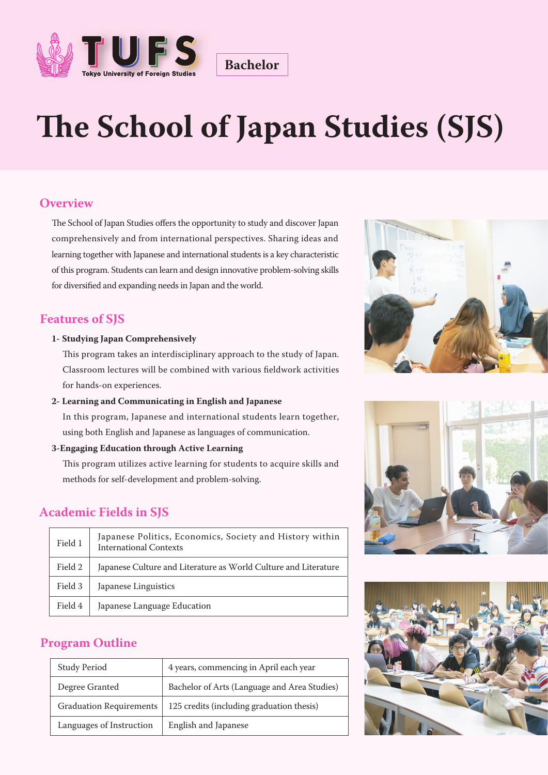

# **e School of Japan Studies (SJS)**

**Bachelor**

## **Overview**

The School of Japan Studies offers the opportunity to study and discover Japan comprehensively and from international perspectives. Sharing ideas and learning together with Japanese and international students is a key characteristic of this program. Students can learn and design innovative problem-solving skills for diversified and expanding needs in Japan and the world.

### **Features of SJS**

#### **1- Studying Japan Comprehensively**

This program takes an interdisciplinary approach to the study of Japan. Classroom lectures will be combined with various fieldwork activities for hands-on experiences.

#### **2- Learning and Communicating in English and Japanese**

In this program, Japanese and international students learn together, using both English and Japanese as languages of communication.

#### **3-Engaging Education through Active Learning**

This program utilizes active learning for students to acquire skills and methods for self-development and problem-solving.

## **Academic Fields in SJS**

| Field 1 | Japanese Politics, Economics, Society and History within<br>International Contexts |
|---------|------------------------------------------------------------------------------------|
| Field 2 | Japanese Culture and Literature as World Culture and Literature                    |
| Field 3 | Japanese Linguistics                                                               |
| Field 4 | Japanese Language Education                                                        |

### **Program Outline**

| <b>Study Period</b>            | 4 years, commencing in April each year       |
|--------------------------------|----------------------------------------------|
| Degree Granted                 | Bachelor of Arts (Language and Area Studies) |
| <b>Graduation Requirements</b> | 125 credits (including graduation thesis)    |
| Languages of Instruction       | English and Japanese                         |